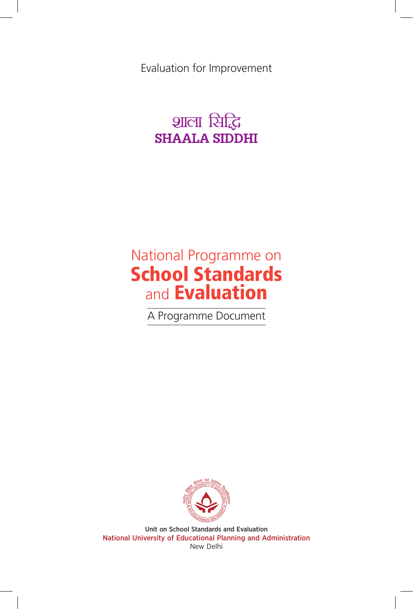Evaluation for Improvement

# शाला सिद्धि **SHAALA SIDDHI**

# National Programme on School Standards and **Evaluation**

A Programme Document



Unit on School Standards and Evaluation National University of Educational Planning and Administration New Delhi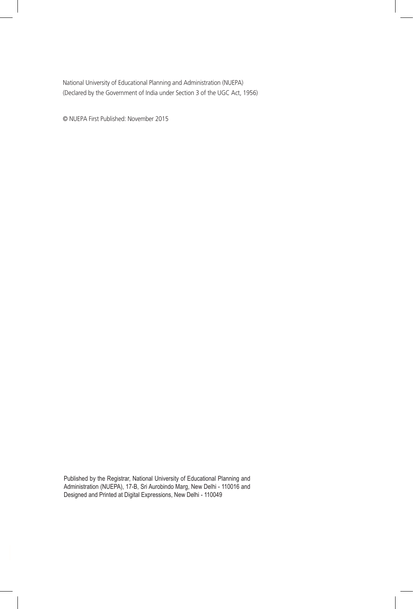National University of Educational Planning and Administration (NUEPA) (Declared by the Government of India under Section 3 of the UGC Act, 1956)

© NUEPA First Published: November 2015

Published by the Registrar, National University of Educational Planning and Administration (NUEPA), 17-B, Sri Aurobindo Marg, New Delhi - 110016 and Designed and Printed at Digital Expressions, New Delhi - 110049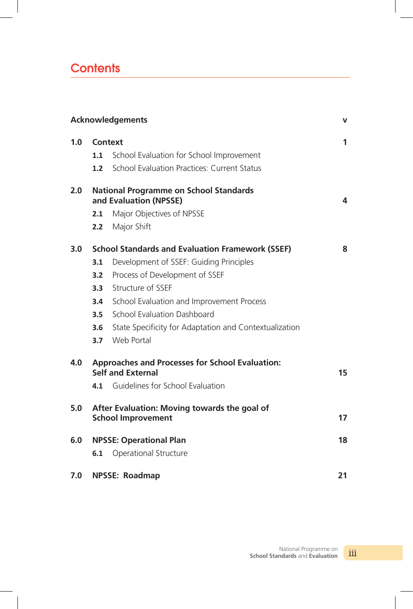## **Contents**

 $\overline{\phantom{a}}$ 

 $\begin{array}{c} \hline \end{array}$ 

|                  |               | <b>Acknowledgements</b>                                                     | v  |
|------------------|---------------|-----------------------------------------------------------------------------|----|
| 1.0              |               | Context                                                                     | 1  |
|                  | 1.1           | School Evaluation for School Improvement                                    |    |
|                  | 1.2           | School Evaluation Practices: Current Status                                 |    |
| 2.0              |               | <b>National Programme on School Standards</b><br>and Evaluation (NPSSE)     | 4  |
|                  | 2.1           | Major Objectives of NPSSE                                                   |    |
|                  | 2.2           | Major Shift                                                                 |    |
| 3.0 <sub>2</sub> |               | <b>School Standards and Evaluation Framework (SSEF)</b>                     | 8  |
|                  | 3.1           | Development of SSEF: Guiding Principles                                     |    |
|                  | 3.2           | Process of Development of SSEF                                              |    |
|                  | 3.3           | Structure of SSEF                                                           |    |
|                  | 3.4           | School Evaluation and Improvement Process                                   |    |
|                  | $3.5^{\circ}$ | School Evaluation Dashboard                                                 |    |
|                  | 3.6           | State Specificity for Adaptation and Contextualization                      |    |
|                  | 3.7           | Web Portal                                                                  |    |
| 4.0              |               | Approaches and Processes for School Evaluation:<br><b>Self and External</b> | 15 |
|                  | 4.1           | Guidelines for School Evaluation                                            |    |
| 5.0              |               | After Evaluation: Moving towards the goal of<br><b>School Improvement</b>   | 17 |
| 6.0              |               | <b>NPSSE: Operational Plan</b>                                              | 18 |
|                  | 6.1           | Operational Structure                                                       |    |
| 7.0              |               | <b>NPSSE: Roadmap</b>                                                       | 21 |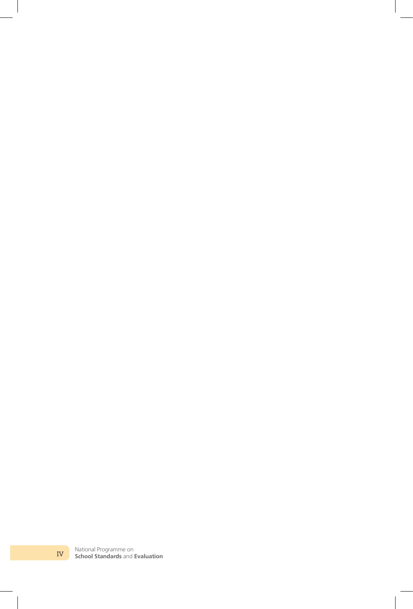**IV** National Programme on<br>**IV** School Standards and Evaluation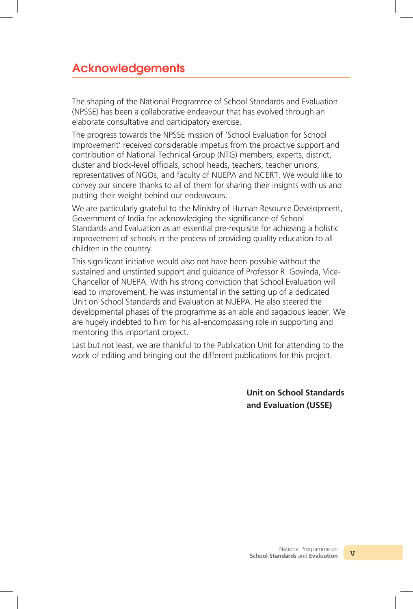## **Acknowledgements**

The shaping of the National Programme of School Standards and Evaluation (NPSSE) has been a collaborative endeavour that has evolved through an elaborate consultative and participatory exercise.

The progress towards the NPSSE mission of 'School Evaluation for School Improvement' received considerable impetus from the proactive support and contribution of National Technical Group (NTG) members, experts, district, cluster and block-level officials, school heads, teachers, teacher unions, representatives of NGOs, and faculty of NUEPA and NCERT. We would like to convey our sincere thanks to all of them for sharing their insights with us and putting their weight behind our endeavours.

We are particularly grateful to the Ministry of Human Resource Development, Government of India for acknowledging the significance of School Standards and Evaluation as an essential pre-requisite for achieving a holistic improvement of schools in the process of providing quality education to all children in the country.

This significant initiative would also not have been possible without the sustained and unstinted support and guidance of Professor R. Govinda, Vice-Chancellor of NUEPA. With his strong conviction that School Evaluation will lead to improvement, he was instumental in the setting up of a dedicated Unit on School Standards and Evaluation at NUEPA. He also steered the developmental phases of the programme as an able and sagacious leader. We are hugely indebted to him for his all-encompassing role in supporting and mentoring this important project.

Last but not least, we are thankful to the Publication Unit for attending to the work of editing and bringing out the different publications for this project.

> **Unit on School Standards and Evaluation (USSE)**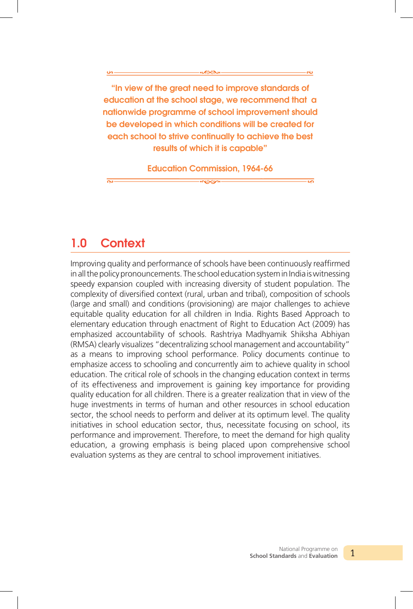"In view of the great need to improve standards of education at the school stage, we recommend that a nationwide programme of school improvement should be developed in which conditions will be created for each school to strive continually to achieve the best results of which it is capable"

Education Commission, 1964-66

### 1.0 Context

Improving quality and performance of schools have been continuously reaffirmed in all the policy pronouncements. The school education system in India is witnessing speedy expansion coupled with increasing diversity of student population. The complexity of diversified context (rural, urban and tribal), composition of schools (large and small) and conditions (provisioning) are major challenges to achieve equitable quality education for all children in India. Rights Based Approach to elementary education through enactment of Right to Education Act (2009) has emphasized accountability of schools. Rashtriya Madhyamik Shiksha Abhiyan (RMSA) clearly visualizes "decentralizing school management and accountability" as a means to improving school performance. Policy documents continue to emphasize access to schooling and concurrently aim to achieve quality in school education. The critical role of schools in the changing education context in terms of its effectiveness and improvement is gaining key importance for providing quality education for all children. There is a greater realization that in view of the huge investments in terms of human and other resources in school education sector, the school needs to perform and deliver at its optimum level. The quality initiatives in school education sector, thus, necessitate focusing on school, its performance and improvement. Therefore, to meet the demand for high quality education, a growing emphasis is being placed upon comprehensive school evaluation systems as they are central to school improvement initiatives.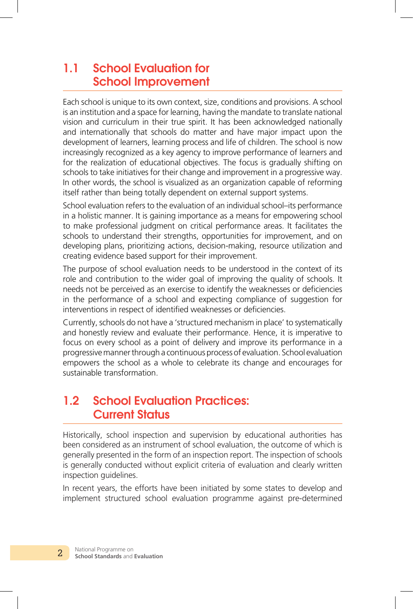### 1.1 School Evaluation for School Improvement

Each school is unique to its own context, size, conditions and provisions. A school is an institution and a space for learning, having the mandate to translate national vision and curriculum in their true spirit. It has been acknowledged nationally and internationally that schools do matter and have major impact upon the development of learners, learning process and life of children. The school is now increasingly recognized as a key agency to improve performance of learners and for the realization of educational objectives. The focus is gradually shifting on schools to take initiatives for their change and improvement in a progressive way. In other words, the school is visualized as an organization capable of reforming itself rather than being totally dependent on external support systems.

School evaluation refers to the evaluation of an individual school–its performance in a holistic manner. It is gaining importance as a means for empowering school to make professional judgment on critical performance areas. It facilitates the schools to understand their strengths, opportunities for improvement, and on developing plans, prioritizing actions, decision-making, resource utilization and creating evidence based support for their improvement.

The purpose of school evaluation needs to be understood in the context of its role and contribution to the wider goal of improving the quality of schools. It needs not be perceived as an exercise to identify the weaknesses or deficiencies in the performance of a school and expecting compliance of suggestion for interventions in respect of identified weaknesses or deficiencies.

Currently, schools do not have a 'structured mechanism in place' to systematically and honestly review and evaluate their performance. Hence, it is imperative to focus on every school as a point of delivery and improve its performance in a progressive manner through a continuous process of evaluation. School evaluation empowers the school as a whole to celebrate its change and encourages for sustainable transformation.

### 1.2 School Evaluation Practices: Current Status

Historically, school inspection and supervision by educational authorities has been considered as an instrument of school evaluation, the outcome of which is generally presented in the form of an inspection report. The inspection of schools is generally conducted without explicit criteria of evaluation and clearly written inspection guidelines.

In recent years, the efforts have been initiated by some states to develop and implement structured school evaluation programme against pre-determined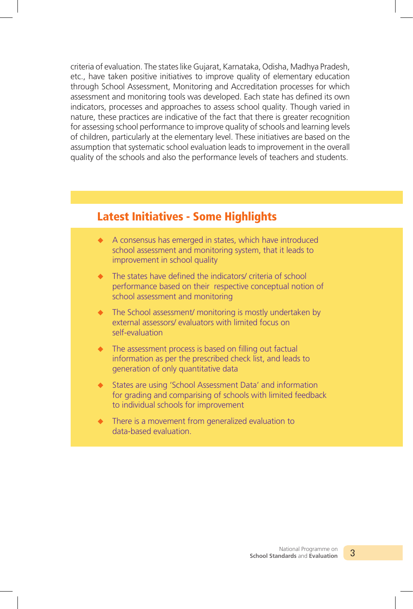criteria of evaluation. The states like Gujarat, Karnataka, Odisha, Madhya Pradesh, etc., have taken positive initiatives to improve quality of elementary education through School Assessment, Monitoring and Accreditation processes for which assessment and monitoring tools was developed. Each state has defined its own indicators, processes and approaches to assess school quality. Though varied in nature, these practices are indicative of the fact that there is greater recognition for assessing school performance to improve quality of schools and learning levels of children, particularly at the elementary level. These initiatives are based on the assumption that systematic school evaluation leads to improvement in the overall quality of the schools and also the performance levels of teachers and students.

#### Latest Initiatives - Some Highlights

- A consensus has emerged in states, which have introduced school assessment and monitoring system, that it leads to improvement in school quality
- The states have defined the indicators/ criteria of school performance based on their respective conceptual notion of school assessment and monitoring
- The School assessment/ monitoring is mostly undertaken by external assessors/ evaluators with limited focus on self-evaluation
- The assessment process is based on filling out factual information as per the prescribed check list, and leads to generation of only quantitative data
- States are using 'School Assessment Data' and information for grading and comparising of schools with limited feedback to individual schools for improvement
- There is a movement from generalized evaluation to data-based evaluation.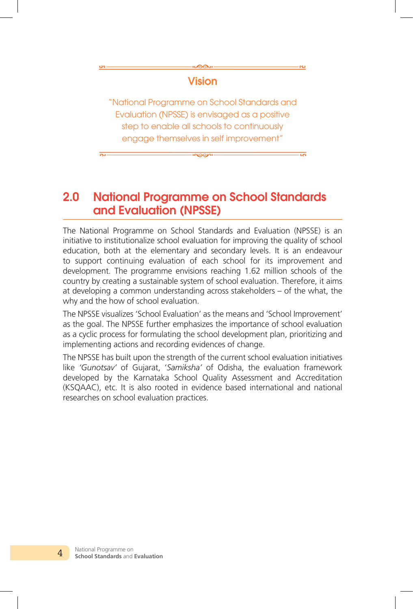#### Vision

"National Programme on School Standards and Evaluation (NPSSE) is envisaged as a positive step to enable all schools to continuously engage themselves in self improvement"

## 2.0 National Programme on School Standards and Evaluation (NPSSE)

The National Programme on School Standards and Evaluation (NPSSE) is an initiative to institutionalize school evaluation for improving the quality of school education, both at the elementary and secondary levels. It is an endeavour to support continuing evaluation of each school for its improvement and development. The programme envisions reaching 1.62 million schools of the country by creating a sustainable system of school evaluation. Therefore, it aims at developing a common understanding across stakeholders – of the what, the why and the how of school evaluation.

The NPSSE visualizes 'School Evaluation' as the means and 'School Improvement' as the goal. The NPSSE further emphasizes the importance of school evaluation as a cyclic process for formulating the school development plan, prioritizing and implementing actions and recording evidences of change.

The NPSSE has built upon the strength of the current school evaluation initiatives like *'Gunotsav'* of Gujarat, '*Samiksha'* of Odisha, the evaluation framework developed by the Karnataka School Quality Assessment and Accreditation (KSQAAC), etc. It is also rooted in evidence based international and national researches on school evaluation practices.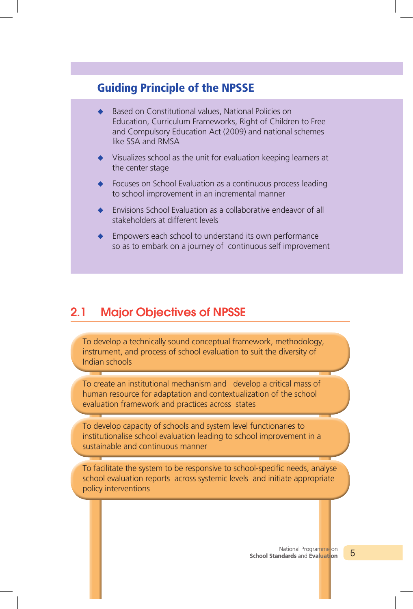#### Guiding Principle of the NPSSE

- Based on Constitutional values, National Policies on Education, Curriculum Frameworks, Right of Children to Free and Compulsory Education Act (2009) and national schemes like SSA and RMSA
- Visualizes school as the unit for evaluation keeping learners at the center stage
- Focuses on School Evaluation as a continuous process leading to school improvement in an incremental manner
- Envisions School Evaluation as a collaborative endeavor of all stakeholders at different levels
- Empowers each school to understand its own performance so as to embark on a journey of continuous self improvement

#### 2.1 Major Objectives of NPSSE

To develop a technically sound conceptual framework, methodology, instrument, and process of school evaluation to suit the diversity of Indian schools

To create an institutional mechanism and develop a critical mass of human resource for adaptation and contextualization of the school evaluation framework and practices across states

To develop capacity of schools and system level functionaries to institutionalise school evaluation leading to school improvement in a sustainable and continuous manner

To facilitate the system to be responsive to school-specific needs, analyse school evaluation reports across systemic levels and initiate appropriate policy interventions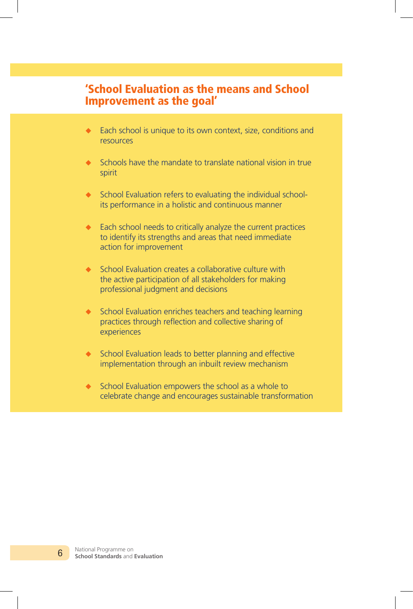#### 'School Evaluation as the means and School Improvement as the goal'

- Each school is unique to its own context, size, conditions and resources
- Schools have the mandate to translate national vision in true spirit
- $\blacklozenge$  School Evaluation refers to evaluating the individual schoolits performance in a holistic and continuous manner
- Each school needs to critically analyze the current practices to identify its strengths and areas that need immediate action for improvement
- School Evaluation creates a collaborative culture with the active participation of all stakeholders for making professional judgment and decisions
- School Evaluation enriches teachers and teaching learning practices through reflection and collective sharing of experiences
- School Evaluation leads to better planning and effective implementation through an inbuilt review mechanism
- School Evaluation empowers the school as a whole to celebrate change and encourages sustainable transformation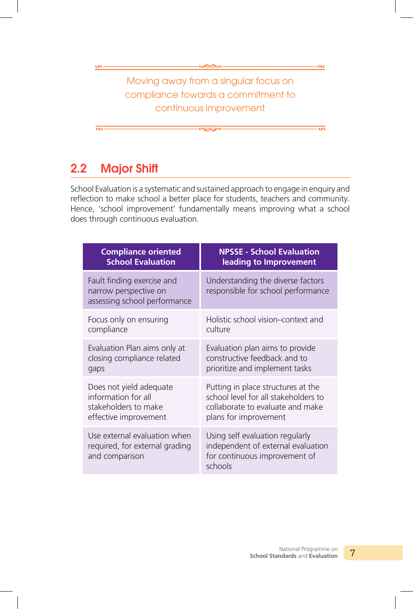Moving away from a singular focus on compliance towards a commitment to continuous improvement

noon

## 2.2 Major Shift

 $\overline{\mathcal{N}}$ 

School Evaluation is a systematic and sustained approach to engage in enquiry and reflection to make school a better place for students, teachers and community. Hence, 'school improvement' fundamentally means improving what a school does through continuous evaluation.

| <b>Compliance oriented</b>                                                          | <b>NPSSE - School Evaluation</b>                                                                                  |
|-------------------------------------------------------------------------------------|-------------------------------------------------------------------------------------------------------------------|
| <b>School Evaluation</b>                                                            | leading to Improvement                                                                                            |
| Fault finding exercise and<br>narrow perspective on<br>assessing school performance | Understanding the diverse factors<br>responsible for school performance                                           |
| Focus only on ensuring                                                              | Holistic school vision–context and                                                                                |
| compliance                                                                          | culture                                                                                                           |
| Evaluation Plan aims only at                                                        | Evaluation plan aims to provide                                                                                   |
| closing compliance related                                                          | constructive feedback and to                                                                                      |
| gaps                                                                                | prioritize and implement tasks                                                                                    |
| Does not yield adequate                                                             | Putting in place structures at the                                                                                |
| information for all                                                                 | school level for all stakeholders to                                                                              |
| stakeholders to make                                                                | collaborate to evaluate and make                                                                                  |
| effective improvement                                                               | plans for improvement                                                                                             |
| Use external evaluation when<br>required, for external grading<br>and comparison    | Using self evaluation regularly<br>independent of external evaluation<br>for continuous improvement of<br>schools |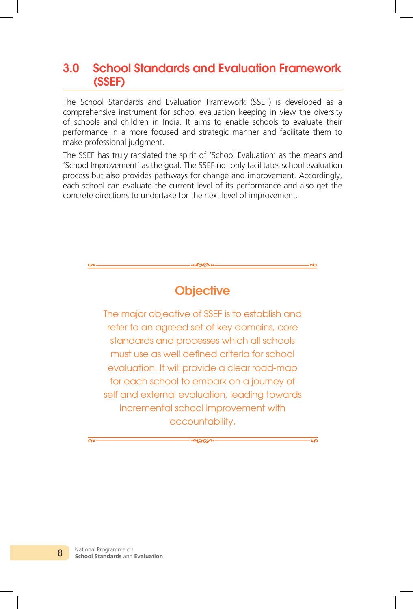### 3.0 School Standards and Evaluation Framework (SSEF)

The School Standards and Evaluation Framework (SSEF) is developed as a comprehensive instrument for school evaluation keeping in view the diversity of schools and children in India. It aims to enable schools to evaluate their performance in a more focused and strategic manner and facilitate them to make professional judgment.

The SSEF has truly ranslated the spirit of 'School Evaluation' as the means and 'School Improvement' as the goal. The SSEF not only facilitates school evaluation process but also provides pathways for change and improvement. Accordingly, each school can evaluate the current level of its performance and also get the concrete directions to undertake for the next level of improvement.

## **Objective**

The major objective of SSEF is to establish and refer to an agreed set of key domains, core standards and processes which all schools must use as well defined criteria for school evaluation. It will provide a clear road-map for each school to embark on a journey of self and external evaluation, leading towards incremental school improvement with accountability.

**inoon.** 

ಹ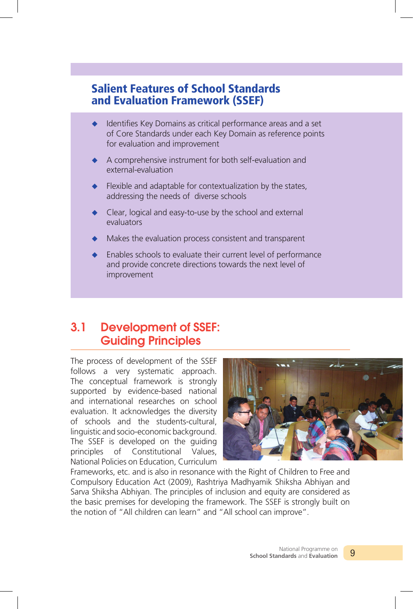#### Salient Features of School Standards and Evaluation Framework (SSEF)

- Identifies Key Domains as critical performance areas and a set of Core Standards under each Key Domain as reference points for evaluation and improvement
- A comprehensive instrument for both self-evaluation and external-evaluation
- Flexible and adaptable for contextualization by the states, addressing the needs of diverse schools
- Clear, logical and easy-to-use by the school and external evaluators
- Makes the evaluation process consistent and transparent
- Enables schools to evaluate their current level of performance and provide concrete directions towards the next level of improvement

### 3.1 Development of SSEF: Guiding Principles

The process of development of the SSEF follows a very systematic approach. The conceptual framework is strongly supported by evidence-based national and international researches on school evaluation. It acknowledges the diversity of schools and the students-cultural, linguistic and socio-economic background. The SSEF is developed on the guiding principles of Constitutional Values, National Policies on Education, Curriculum



Frameworks, etc. and is also in resonance with the Right of Children to Free and Compulsory Education Act (2009), Rashtriya Madhyamik Shiksha Abhiyan and Sarva Shiksha Abhiyan. The principles of inclusion and equity are considered as the basic premises for developing the framework. The SSEF is strongly built on the notion of "All children can learn" and "All school can improve".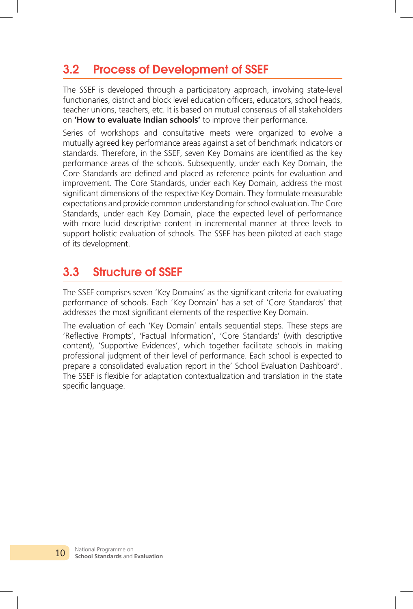## 3.2 Process of Development of SSEF

The SSEF is developed through a participatory approach, involving state-level functionaries, district and block level education officers, educators, school heads, teacher unions, teachers, etc. It is based on mutual consensus of all stakeholders on **'How to evaluate Indian schools'** to improve their performance.

Series of workshops and consultative meets were organized to evolve a mutually agreed key performance areas against a set of benchmark indicators or standards. Therefore, in the SSEF, seven Key Domains are identified as the key performance areas of the schools. Subsequently, under each Key Domain, the Core Standards are defined and placed as reference points for evaluation and improvement. The Core Standards, under each Key Domain, address the most significant dimensions of the respective Key Domain. They formulate measurable expectations and provide common understanding for school evaluation. The Core Standards, under each Key Domain, place the expected level of performance with more lucid descriptive content in incremental manner at three levels to support holistic evaluation of schools. The SSEF has been piloted at each stage of its development.

## 3.3 Structure of SSEF

The SSEF comprises seven 'Key Domains' as the significant criteria for evaluating performance of schools. Each 'Key Domain' has a set of 'Core Standards' that addresses the most significant elements of the respective Key Domain.

The evaluation of each 'Key Domain' entails sequential steps. These steps are 'Reflective Prompts', 'Factual Information', 'Core Standards' (with descriptive content), 'Supportive Evidences', which together facilitate schools in making professional judgment of their level of performance. Each school is expected to prepare a consolidated evaluation report in the' School Evaluation Dashboard'. The SSEF is flexible for adaptation contextualization and translation in the state specific language.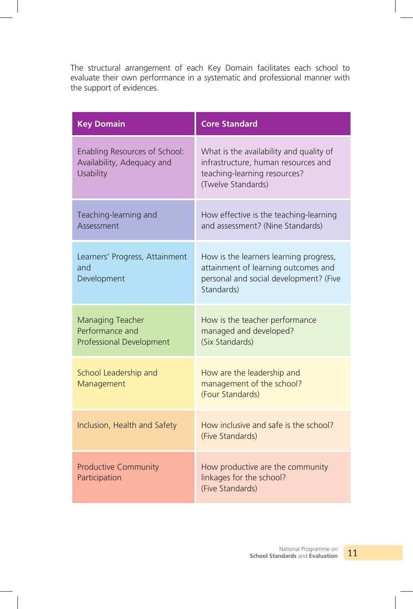The structural arrangement of each Key Domain facilitates each school to evaluate their own performance in a systematic and professional manner with the support of evidences.

| <b>Key Domain</b>                                                        | <b>Core Standard</b>                                                                                                                  |  |
|--------------------------------------------------------------------------|---------------------------------------------------------------------------------------------------------------------------------------|--|
| Enabling Resources of School:<br>Availability, Adequacy and<br>Usability | What is the availability and quality of<br>infrastructure, human resources and<br>teaching-learning resources?<br>(Twelve Standards)  |  |
| Teaching-learning and<br>Assessment                                      | How effective is the teaching-learning<br>and assessment? (Nine Standards)                                                            |  |
| Learners' Progress, Attainment<br>and<br>Development                     | How is the learners learning progress,<br>attainment of learning outcomes and<br>personal and social development? (Five<br>Standards) |  |
| Managing Teacher<br>Performance and<br><b>Professional Development</b>   | How is the teacher performance<br>managed and developed?<br>(Six Standards)                                                           |  |
| School Leadership and<br>Management                                      | How are the leadership and<br>management of the school?<br>(Four Standards)                                                           |  |
| Inclusion, Health and Safety                                             | How inclusive and safe is the school?<br>(Five Standards)                                                                             |  |
| <b>Productive Community</b><br>Participation                             | How productive are the community<br>linkages for the school?<br>(Five Standards)                                                      |  |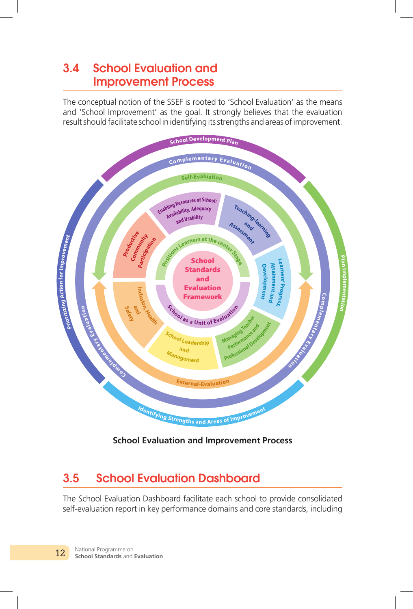## 3.4 School Evaluation and Improvement Process

The conceptual notion of the SSEF is rooted to 'School Evaluation' as the means and 'School Improvement' as the goal. It strongly believes that the evaluation result should facilitate school in identifying its strengths and areas of improvement.



**School Evaluation and Improvement Process**

## 3.5 School Evaluation Dashboard

The School Evaluation Dashboard facilitate each school to provide consolidated self-evaluation report in key performance domains and core standards, including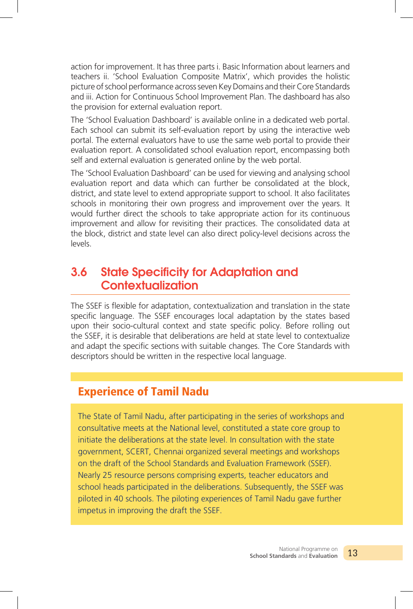action for improvement. It has three parts i. Basic Information about learners and teachers ii. 'School Evaluation Composite Matrix', which provides the holistic picture of school performance across seven Key Domains and their Core Standards and iii. Action for Continuous School Improvement Plan. The dashboard has also the provision for external evaluation report.

The 'School Evaluation Dashboard' is available online in a dedicated web portal. Each school can submit its self-evaluation report by using the interactive web portal. The external evaluators have to use the same web portal to provide their evaluation report. A consolidated school evaluation report, encompassing both self and external evaluation is generated online by the web portal.

The 'School Evaluation Dashboard' can be used for viewing and analysing school evaluation report and data which can further be consolidated at the block, district, and state level to extend appropriate support to school. It also facilitates schools in monitoring their own progress and improvement over the years. It would further direct the schools to take appropriate action for its continuous improvement and allow for revisiting their practices. The consolidated data at the block, district and state level can also direct policy-level decisions across the levels.

#### 3.6 State Specificity for Adaptation and **Contextualization**

The SSEF is flexible for adaptation, contextualization and translation in the state specific language. The SSEF encourages local adaptation by the states based upon their socio-cultural context and state specific policy. Before rolling out the SSEF, it is desirable that deliberations are held at state level to contextualize and adapt the specific sections with suitable changes. The Core Standards with descriptors should be written in the respective local language.

#### Experience of Tamil Nadu

The State of Tamil Nadu, after participating in the series of workshops and consultative meets at the National level, constituted a state core group to initiate the deliberations at the state level. In consultation with the state government, SCERT, Chennai organized several meetings and workshops on the draft of the School Standards and Evaluation Framework (SSEF). Nearly 25 resource persons comprising experts, teacher educators and school heads participated in the deliberations. Subsequently, the SSEF was piloted in 40 schools. The piloting experiences of Tamil Nadu gave further impetus in improving the draft the SSEF.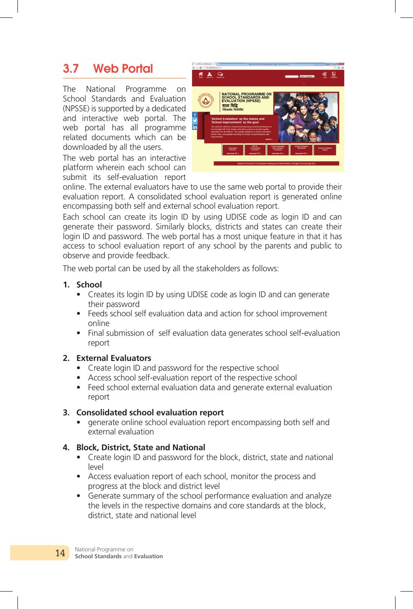## 3.7 Web Portal

The National Programme on School Standards and Evaluation (NPSSE) is supported by a dedicated and interactive web portal. The web portal has all programme related documents which can be downloaded by all the users.

The web portal has an interactive platform wherein each school can submit its self-evaluation report



online. The external evaluators have to use the same web portal to provide their evaluation report. A consolidated school evaluation report is generated online encompassing both self and external school evaluation report.

Each school can create its login ID by using UDISE code as login ID and can generate their password. Similarly blocks, districts and states can create their login ID and password. The web portal has a most unique feature in that it has access to school evaluation report of any school by the parents and public to observe and provide feedback.

The web portal can be used by all the stakeholders as follows:

#### **1. School**

- Creates its login ID by using UDISE code as login ID and can generate their password
- Feeds school self evaluation data and action for school improvement online
- Final submission of self evaluation data generates school self-evaluation report

#### **2. External Evaluators**

- Create login ID and password for the respective school
- Access school self-evaluation report of the respective school
- Feed school external evaluation data and generate external evaluation report

#### **3. Consolidated school evaluation report**

• generate online school evaluation report encompassing both self and external evaluation

#### **4. Block, District, State and National**

- Create login ID and password for the block, district, state and national level
- Access evaluation report of each school, monitor the process and progress at the block and district level
- Generate summary of the school performance evaluation and analyze the levels in the respective domains and core standards at the block, district, state and national level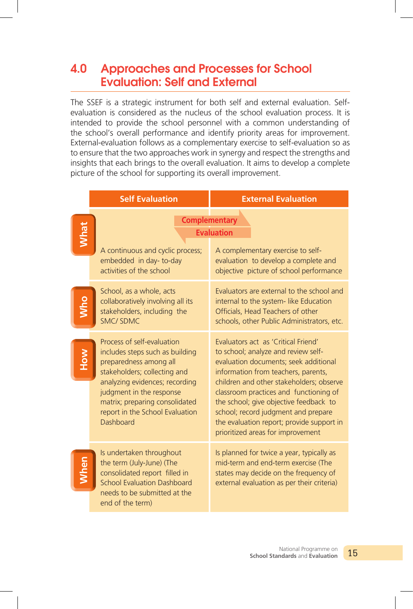### 4.0 Approaches and Processes for School Evaluation: Self and External

The SSEF is a strategic instrument for both self and external evaluation. Selfevaluation is considered as the nucleus of the school evaluation process. It is intended to provide the school personnel with a common understanding of the school's overall performance and identify priority areas for improvement. External-evaluation follows as a complementary exercise to self-evaluation so as to ensure that the two approaches work in synergy and respect the strengths and insights that each brings to the overall evaluation. It aims to develop a complete picture of the school for supporting its overall improvement.

|             | <b>Self Evaluation</b>                                                                                                                                                                                                                                                  | <b>External Evaluation</b>                                                                                                                                                                                                                                                                                                                                                                                          |  |
|-------------|-------------------------------------------------------------------------------------------------------------------------------------------------------------------------------------------------------------------------------------------------------------------------|---------------------------------------------------------------------------------------------------------------------------------------------------------------------------------------------------------------------------------------------------------------------------------------------------------------------------------------------------------------------------------------------------------------------|--|
| <b>Mhat</b> |                                                                                                                                                                                                                                                                         | <b>Complementary</b><br><b>Evaluation</b>                                                                                                                                                                                                                                                                                                                                                                           |  |
|             | A continuous and cyclic process;<br>embedded in day- to-day<br>activities of the school                                                                                                                                                                                 | A complementary exercise to self-<br>evaluation to develop a complete and<br>objective picture of school performance                                                                                                                                                                                                                                                                                                |  |
|             | School, as a whole, acts<br>collaboratively involving all its<br>stakeholders, including the<br><b>SMC/SDMC</b>                                                                                                                                                         | Evaluators are external to the school and<br>internal to the system- like Education<br>Officials, Head Teachers of other<br>schools, other Public Administrators, etc.                                                                                                                                                                                                                                              |  |
| <b>NOH</b>  | Process of self-evaluation<br>includes steps such as building<br>preparedness among all<br>stakeholders; collecting and<br>analyzing evidences; recording<br>judgment in the response<br>matrix; preparing consolidated<br>report in the School Evaluation<br>Dashboard | Evaluators act as 'Critical Friend'<br>to school; analyze and review self-<br>evaluation documents; seek additional<br>information from teachers, parents,<br>children and other stakeholders; observe<br>classroom practices and functioning of<br>the school; give objective feedback to<br>school; record judgment and prepare<br>the evaluation report; provide support in<br>prioritized areas for improvement |  |
| ου          | Is undertaken throughout<br>the term (July-June) (The<br>consolidated report filled in<br><b>School Evaluation Dashboard</b><br>needs to be submitted at the<br>end of the term)                                                                                        | Is planned for twice a year, typically as<br>mid-term and end-term exercise (The<br>states may decide on the frequency of<br>external evaluation as per their criteria)                                                                                                                                                                                                                                             |  |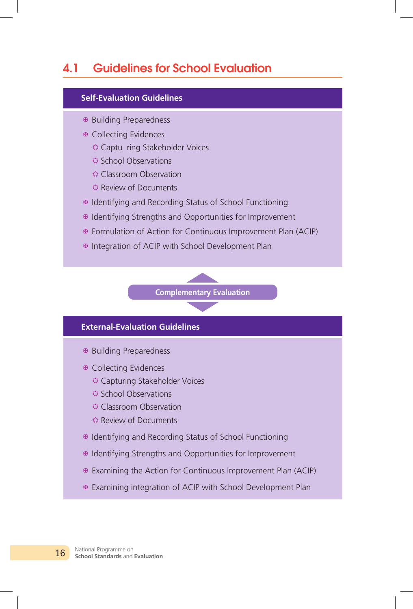### 4.1 Guidelines for School Evaluation

#### **Self-Evaluation Guidelines**

- **Building Preparedness**
- Collecting Evidences
	- Captu ring Stakeholder Voices
	- School Observations
	- Classroom Observation
	- Review of Documents
- Identifying and Recording Status of School Functioning
- **E** Identifying Strengths and Opportunities for Improvement
- Formulation of Action for Continuous Improvement Plan (ACIP)
- Integration of ACIP with School Development Plan

**Complementary Evaluation**

#### **External-Evaluation Guidelines**

- $⊯$  **Building Preparedness**
- Collecting Evidences
	- Capturing Stakeholder Voices
	- School Observations
	- Classroom Observation
	- Review of Documents
- Identifying and Recording Status of School Functioning
- Identifying Strengths and Opportunities for Improvement
- Examining the Action for Continuous Improvement Plan (ACIP)
- Examining integration of ACIP with School Development Plan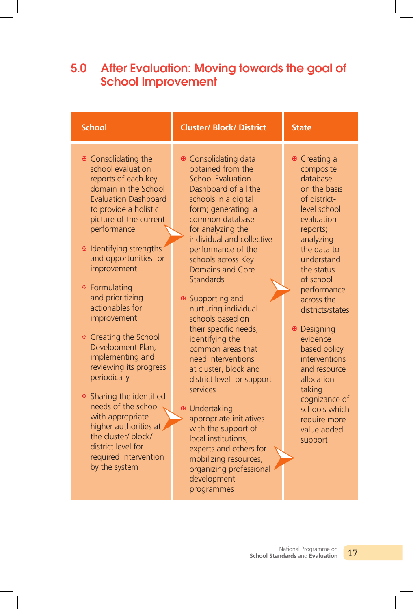### 5.0 After Evaluation: Moving towards the goal of School Improvement

| <b>School</b>                                                                                                                                                                                   | <b>Cluster/ Block/ District</b>                                                                                                                                                                                      | <b>State</b>                                                                                                                           |
|-------------------------------------------------------------------------------------------------------------------------------------------------------------------------------------------------|----------------------------------------------------------------------------------------------------------------------------------------------------------------------------------------------------------------------|----------------------------------------------------------------------------------------------------------------------------------------|
| <b>E</b> Consolidating the<br>school evaluation<br>reports of each key<br>domain in the School<br><b>Evaluation Dashboard</b><br>to provide a holistic<br>picture of the current<br>performance | <b>E</b> Consolidating data<br>obtained from the<br><b>School Evaluation</b><br>Dashboard of all the<br>schools in a digital<br>form; generating a<br>common database<br>for analyzing the                           | <b><math>\Phi</math></b> Creating a<br>composite<br>database<br>on the basis<br>of district-<br>level school<br>evaluation<br>reports; |
| B Identifying strengths<br>and opportunities for<br>improvement<br><b><i>E</i></b> Formulating                                                                                                  | individual and collective<br>performance of the<br>schools across Key<br><b>Domains and Core</b><br><b>Standards</b>                                                                                                 | analyzing<br>the data to<br>understand<br>the status<br>of school<br>performance                                                       |
| and prioritizing<br>actionables for<br>improvement                                                                                                                                              | <b>■ Supporting and</b><br>nurturing individual<br>schools based on                                                                                                                                                  | across the<br>districts/states                                                                                                         |
| <b>E</b> Creating the School<br>Development Plan,<br>implementing and<br>reviewing its progress<br>periodically                                                                                 | their specific needs;<br>identifying the<br>common areas that<br>need interventions<br>at cluster, block and<br>district level for support                                                                           | <b>※</b> Designing<br>evidence<br>based policy<br>interventions<br>and resource<br>allocation                                          |
| B Sharing the identified<br>needs of the school<br>with appropriate<br>higher authorities at<br>the cluster/ block/<br>district level for<br>required intervention<br>by the system             | services<br><b>₩</b> Undertaking<br>appropriate initiatives<br>with the support of<br>local institutions,<br>experts and others for<br>mobilizing resources,<br>organizing professional<br>development<br>programmes | taking<br>cognizance of<br>schools which<br>require more<br>value added<br>support                                                     |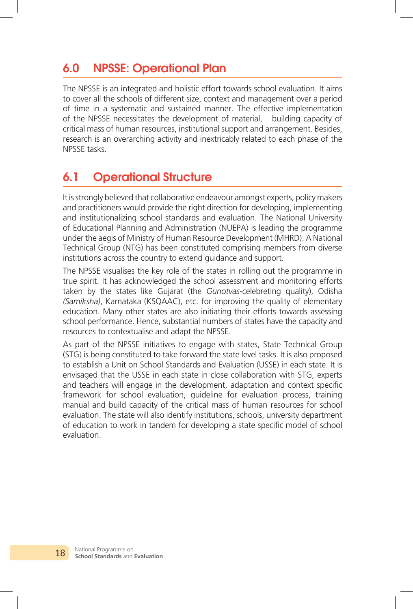## 6.0 NPSSE: Operational Plan

The NPSSE is an integrated and holistic effort towards school evaluation. It aims to cover all the schools of different size, context and management over a period of time in a systematic and sustained manner. The effective implementation of the NPSSE necessitates the development of material, building capacity of critical mass of human resources, institutional support and arrangement. Besides, research is an overarching activity and inextricably related to each phase of the NPSSE tasks.

## 6.1 Operational Structure

It is strongly believed that collaborative endeavour amongst experts, policy makers and practitioners would provide the right direction for developing, implementing and institutionalizing school standards and evaluation. The National University of Educational Planning and Administration (NUEPA) is leading the programme under the aegis of Ministry of Human Resource Development (MHRD). A National Technical Group (NTG) has been constituted comprising members from diverse institutions across the country to extend guidance and support.

The NPSSE visualises the key role of the states in rolling out the programme in true spirit. It has acknowledged the school assessment and monitoring efforts taken by the states like Gujarat (the *Gunotvas*-celebreting quality), Odisha *(Samiksha)*, Karnataka (KSQAAC), etc. for improving the quality of elementary education. Many other states are also initiating their efforts towards assessing school performance. Hence, substantial numbers of states have the capacity and resources to contextualise and adapt the NPSSE.

As part of the NPSSE initiatives to engage with states, State Technical Group (STG) is being constituted to take forward the state level tasks. It is also proposed to establish a Unit on School Standards and Evaluation (USSE) in each state. It is envisaged that the USSE in each state in close collaboration with STG, experts and teachers will engage in the development, adaptation and context specific framework for school evaluation, guideline for evaluation process, training manual and build capacity of the critical mass of human resources for school evaluation. The state will also identify institutions, schools, university department of education to work in tandem for developing a state specific model of school evaluation.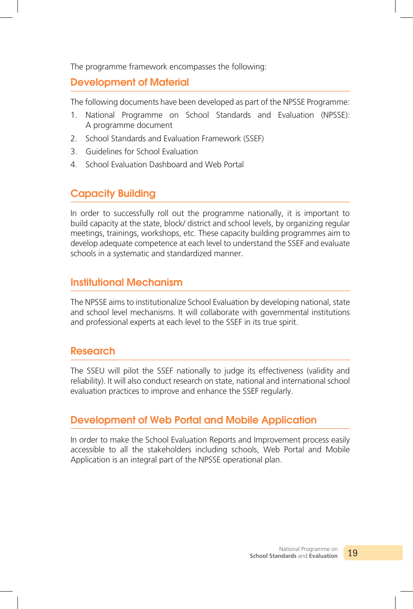The programme framework encompasses the following:

#### Development of Material

The following documents have been developed as part of the NPSSE Programme:

- 1. National Programme on School Standards and Evaluation (NPSSE): A programme document
- 2. School Standards and Evaluation Framework (SSEF)
- 3. Guidelines for School Evaluation
- 4. School Evaluation Dashboard and Web Portal

#### Capacity Building

In order to successfully roll out the programme nationally, it is important to build capacity at the state, block/ district and school levels, by organizing regular meetings, trainings, workshops, etc. These capacity building programmes aim to develop adequate competence at each level to understand the SSEF and evaluate schools in a systematic and standardized manner.

#### Institutional Mechanism

The NPSSE aims to institutionalize School Evaluation by developing national, state and school level mechanisms. It will collaborate with governmental institutions and professional experts at each level to the SSEF in its true spirit.

#### Research

The SSEU will pilot the SSEF nationally to judge its effectiveness (validity and reliability). It will also conduct research on state, national and international school evaluation practices to improve and enhance the SSEF regularly.

#### Development of Web Portal and Mobile Application

In order to make the School Evaluation Reports and Improvement process easily accessible to all the stakeholders including schools, Web Portal and Mobile Application is an integral part of the NPSSE operational plan.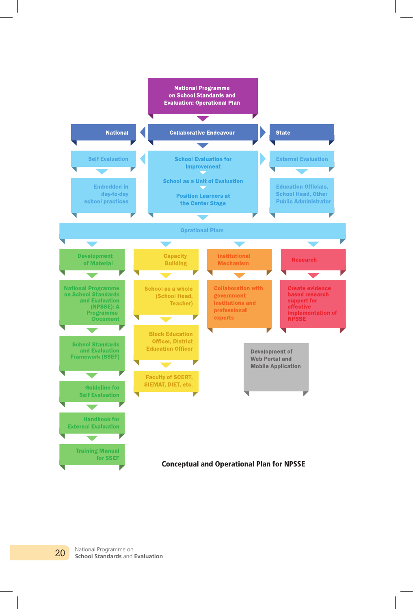

20 National Programme on **School Standards** and **Evaluation**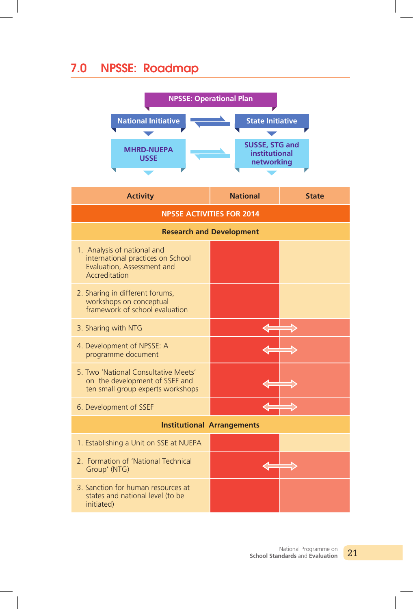# 7.0 NPSSE: Roadmap

 $\overline{\phantom{a}}$ 

 $\begin{array}{c} \hline \end{array}$ 

| <b>NPSSE: Operational Plan</b>                                                                                                                    |                                 |  |  |
|---------------------------------------------------------------------------------------------------------------------------------------------------|---------------------------------|--|--|
| <b>National Initiative</b><br><b>State Initiative</b><br><b>SUSSE, STG and</b><br><b>MHRD-NUEPA</b><br>institutional<br><b>USSE</b><br>networking |                                 |  |  |
| <b>Activity</b>                                                                                                                                   | <b>National</b><br><b>State</b> |  |  |
| <b>NPSSE ACTIVITIES FOR 2014</b>                                                                                                                  |                                 |  |  |
| <b>Research and Development</b>                                                                                                                   |                                 |  |  |
| 1. Analysis of national and<br>international practices on School<br>Evaluation, Assessment and<br>Accreditation                                   |                                 |  |  |
| 2. Sharing in different forums,<br>workshops on conceptual<br>framework of school evaluation                                                      |                                 |  |  |
| 3. Sharing with NTG                                                                                                                               |                                 |  |  |
| 4. Development of NPSSE: A<br>programme document                                                                                                  |                                 |  |  |
| 5. Two 'National Consultative Meets'<br>on the development of SSEF and<br>ten small group experts workshops                                       |                                 |  |  |
| 6. Development of SSEF                                                                                                                            |                                 |  |  |
| <b>Institutional Arrangements</b>                                                                                                                 |                                 |  |  |
| 1. Establishing a Unit on SSE at NUEPA                                                                                                            |                                 |  |  |
| 2. Formation of 'National Technical<br>Group' (NTG)                                                                                               |                                 |  |  |
| 3. Sanction for human resources at<br>states and national level (to be<br>initiated)                                                              |                                 |  |  |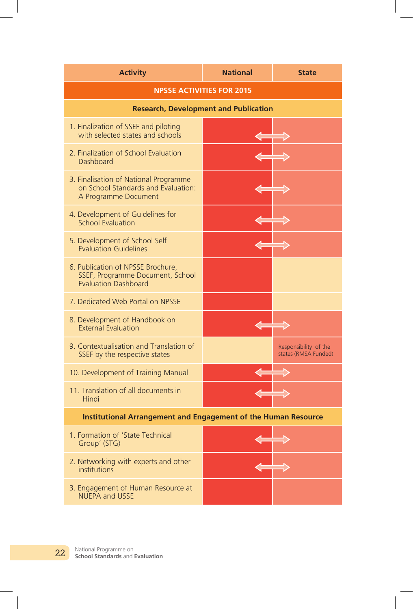| <b>Activity</b>                                                                                      | <b>National</b>                  | <b>State</b>                                  |  |
|------------------------------------------------------------------------------------------------------|----------------------------------|-----------------------------------------------|--|
|                                                                                                      | <b>NPSSE ACTIVITIES FOR 2015</b> |                                               |  |
| <b>Research, Development and Publication</b>                                                         |                                  |                                               |  |
| 1. Finalization of SSEF and piloting<br>with selected states and schools                             |                                  |                                               |  |
| 2. Finalization of School Evaluation<br>Dashboard                                                    |                                  |                                               |  |
| 3. Finalisation of National Programme<br>on School Standards and Evaluation:<br>A Programme Document |                                  |                                               |  |
| 4. Development of Guidelines for<br><b>School Evaluation</b>                                         |                                  |                                               |  |
| 5. Development of School Self<br><b>Evaluation Guidelines</b>                                        |                                  |                                               |  |
| 6. Publication of NPSSE Brochure,<br>SSEF, Programme Document, School<br><b>Evaluation Dashboard</b> |                                  |                                               |  |
| 7. Dedicated Web Portal on NPSSE                                                                     |                                  |                                               |  |
| 8. Development of Handbook on<br><b>External Evaluation</b>                                          |                                  |                                               |  |
| 9. Contextualisation and Translation of<br>SSEF by the respective states                             |                                  | Responsibility of the<br>states (RMSA Funded) |  |
| 10. Development of Training Manual                                                                   |                                  |                                               |  |
| 11. Translation of all documents in<br>Hindi                                                         |                                  |                                               |  |
| <b>Institutional Arrangement and Engagement of the Human Resource</b>                                |                                  |                                               |  |
| 1. Formation of 'State Technical<br>Group' (STG)                                                     |                                  |                                               |  |
| 2. Networking with experts and other<br>institutions                                                 |                                  |                                               |  |
| 3. Engagement of Human Resource at<br><b>NUEPA and USSE</b>                                          |                                  |                                               |  |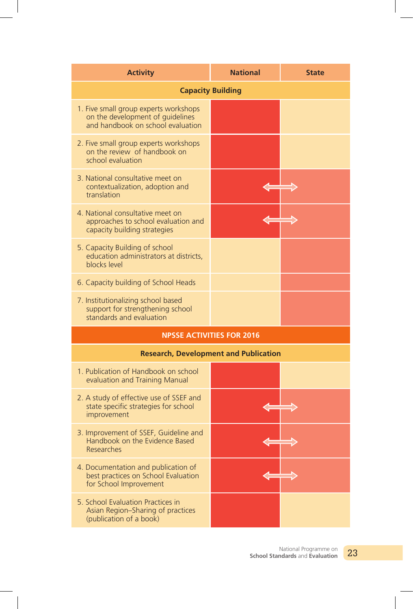| <b>Activity</b>                                                                                                | <b>National</b>                              | State |  |
|----------------------------------------------------------------------------------------------------------------|----------------------------------------------|-------|--|
| <b>Capacity Building</b>                                                                                       |                                              |       |  |
| 1. Five small group experts workshops<br>on the development of guidelines<br>and handbook on school evaluation |                                              |       |  |
| 2. Five small group experts workshops<br>on the review of handbook on<br>school evaluation                     |                                              |       |  |
| 3. National consultative meet on<br>contextualization, adoption and<br>translation                             |                                              |       |  |
| 4. National consultative meet on<br>approaches to school evaluation and<br>capacity building strategies        |                                              |       |  |
| 5. Capacity Building of school<br>education administrators at districts,<br>blocks level                       |                                              |       |  |
| 6. Capacity building of School Heads                                                                           |                                              |       |  |
| 7. Institutionalizing school based<br>support for strengthening school<br>standards and evaluation             |                                              |       |  |
| <b>NPSSE ACTIVITIES FOR 2016</b>                                                                               |                                              |       |  |
|                                                                                                                | <b>Research, Development and Publication</b> |       |  |
| 1. Publication of Handbook on school<br>evaluation and Training Manual                                         |                                              |       |  |
| 2. A study of effective use of SSEF and<br>state specific strategies for school<br>improvement                 |                                              |       |  |
| 3. Improvement of SSEF, Guideline and<br>Handbook on the Evidence Based<br>Researches                          |                                              |       |  |
| 4. Documentation and publication of<br>best practices on School Evaluation<br>for School Improvement           |                                              |       |  |
| 5. School Evaluation Practices in<br>Asian Region-Sharing of practices<br>(publication of a book)              |                                              |       |  |

 $\overline{\phantom{a}}$ 

 $\overline{\phantom{a}}$